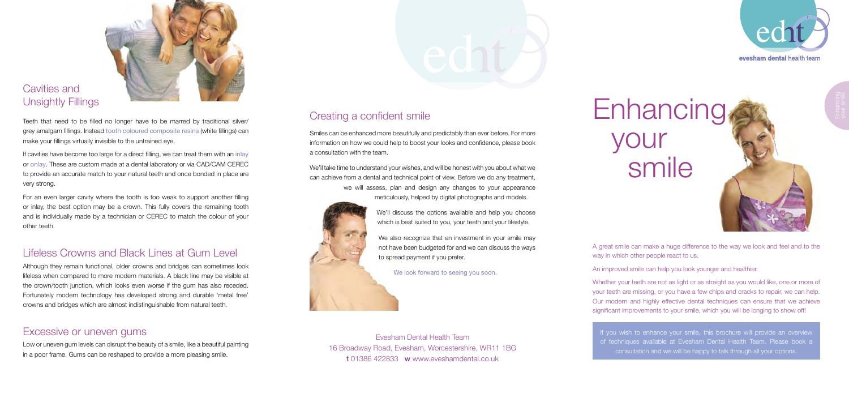A great smile can make a huge difference to the way we look and feel and to the way in which other people react to us.

An improved smile can help you look younger and healthier.

Whether your teeth are not as light or as straight as you would like, one or more of your teeth are missing, or you have a few chips and cracks to repair, we can help. Our modern and highly effective dental techniques can ensure that we achieve significant improvements to your smile, which you will be longing to show off!

If you wish to enhance your smile, this brochure will provide an overview of techniques available at Evesham Dental Health Team. Please book a consultation and we will be happy to talk through all your options.

## Creating a confident smile

Smiles can be enhanced more beautifully and predictably than ever before. For more information on how we could help to boost your looks and confidence, please book a consultation with the team.

We'll take time to understand your wishes, and will be honest with you about what we can achieve from a dental and technical point of view. Before we do any treatment, we will assess, plan and design any changes to your appearance meticulously, helped by digital photographs and models.



We'll discuss the options available and help you choose which is best suited to you, your teeth and your lifestyle.

We also recognize that an investment in your smile may not have been budgeted for and we can discuss the ways to spread payment if you prefer.

We look forward to seeing you soon.

Evesham Dental Health Team 16 Broadway Road, Evesham, Worcestershire, WR11 1BG t 01386 422833 w www.eveshamdental.co.uk



# **Enhancing** your **Smile**



#### Cavities and Unsightly Fillings

Teeth that need to be filled no longer have to be marred by traditional silver/ grey amalgam fillings. Instead tooth coloured composite resins (white fillings) can make your fillings virtually invisible to the untrained eye.

If cavities have become too large for a direct filling, we can treat them with an inlay or onlay. These are custom made at a dental laboratory or via CAD/CAM CEREC to provide an accurate match to your natural teeth and once bonded in place are very strong.

For an even larger cavity where the tooth is too weak to support another filling or inlay, the best option may be a crown. This fully covers the remaining tooth and is individually made by a technician or CEREC to match the colour of your other teeth.

#### Lifeless Crowns and Black Lines at Gum Level

Although they remain functional, older crowns and bridges can sometimes look lifeless when compared to more modern materials. A black line may be visible at the crown/tooth junction, which looks even worse if the gum has also receded. Fortunately modern technology has developed strong and durable 'metal free' crowns and bridges which are almost indistinguishable from natural teeth.

#### Excessive or uneven gums

Low or uneven gum levels can disrupt the beauty of a smile, like a beautiful painting in a poor frame. Gums can be reshaped to provide a more pleasing smile.